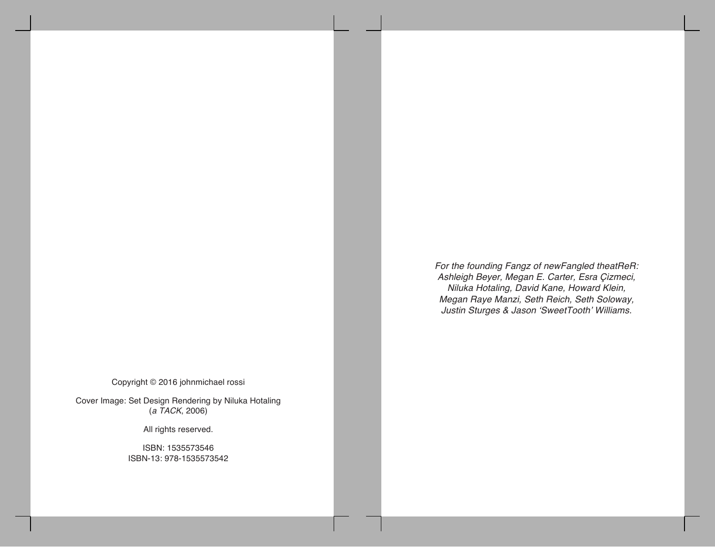Copyright © 2016 johnmichael rossi

Cover Image: Set Design Rendering by Niluka Hotaling (*a TACK*, 2006)

All rights reserved.

ISBN: 1535573546 ISBN-13: 978-1535573542 *For the founding Fangz of newFangled theatReR: Ashleigh Beyer, Megan E. Carter, Esra Çizmeci, Niluka Hotaling, David Kane, Howard Klein, Megan Raye Manzi, Seth Reich, Seth Soloway, Justin Sturges & Jason 'SweetTooth' Williams.*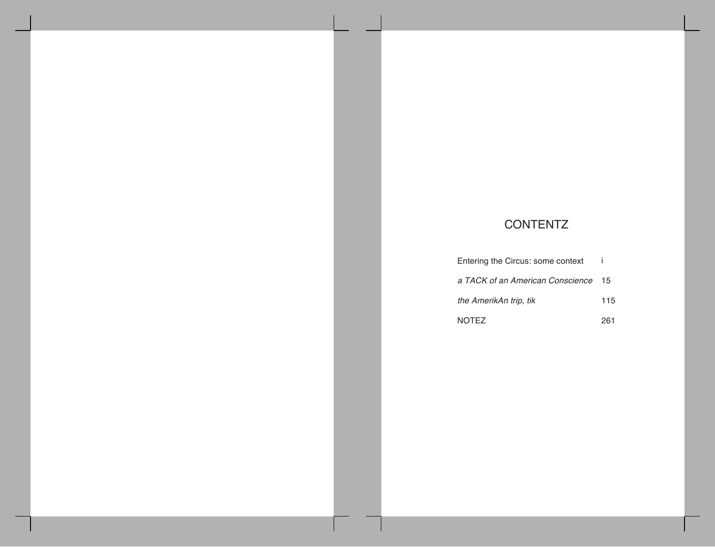# **CONTENTZ**

| Entering the Circus: some context   |     |
|-------------------------------------|-----|
| a TACK of an American Conscience 15 |     |
| the AmerikAn trip, tik              | 115 |
| <b>NOTEZ</b>                        | 261 |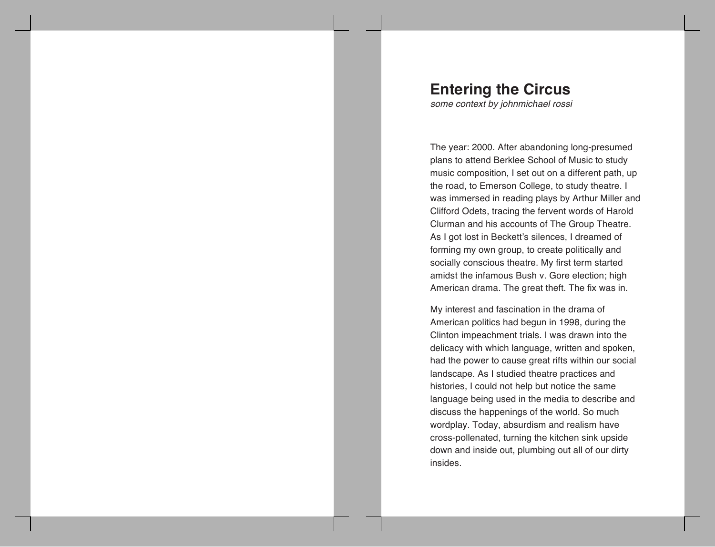# **Entering the Circus**

*some context by johnmichael rossi*

The year: 2000. After abandoning long-presumed plans to attend Berklee School of Music to study music composition, I set out on a different path, up the road, to Emerson College, to study theatre. I was immersed in reading plays by Arthur Miller and Clifford Odets, tracing the fervent words of Harold Clurman and his accounts of The Group Theatre. As I got lost in Beckett's silences, I dreamed of forming my own group, to create politically and socially conscious theatre. My first term started amidst the infamous Bush v. Gore election; high American drama. The great theft. The fix was in.

My interest and fascination in the drama of American politics had begun in 1998, during the Clinton impeachment trials. I was drawn into the delicacy with which language, written and spoken, had the power to cause great rifts within our social landscape. As I studied theatre practices and histories, I could not help but notice the same language being used in the media to describe and discuss the happenings of the world. So much wordplay. Today, absurdism and realism have cross-pollenated, turning the kitchen sink upside down and inside out, plumbing out all of our dirty insides.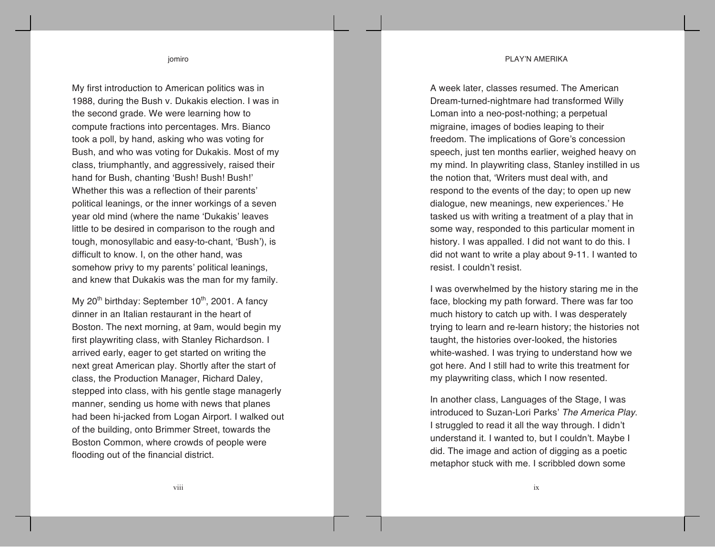#### PLAY'N AMERIKA

jomiro

My first introduction to American politics was in 1988, during the Bush v. Dukakis election. I was in the second grade. We were learning how to compute fractions into percentages. Mrs. Bianco took a poll, by hand, asking who was voting for Bush, and who was voting for Dukakis. Most of my class, triumphantly, and aggressively, raised their hand for Bush, chanting 'Bush! Bush! Bush!' Whether this was a reflection of their parents' political leanings, or the inner workings of a seven year old mind (where the name 'Dukakis' leaves little to be desired in comparison to the rough and tough, monosyllabic and easy-to-chant, 'Bush'), is difficult to know. I, on the other hand, was somehow privy to my parents' political leanings, and knew that Dukakis was the man for my family.

My  $20<sup>th</sup>$  birthday: September  $10<sup>th</sup>$ , 2001. A fancy dinner in an Italian restaurant in the heart of Boston. The next morning, at 9am, would begin my first playwriting class, with Stanley Richardson. I arrived early, eager to get started on writing the next great American play. Shortly after the start of class, the Production Manager, Richard Daley, stepped into class, with his gentle stage managerly manner, sending us home with news that planes had been hi-jacked from Logan Airport. I walked out of the building, onto Brimmer Street, towards the Boston Common, where crowds of people were flooding out of the financial district.

A week later, classes resumed. The American Dream-turned-nightmare had transformed Willy Loman into a neo-post-nothing; a perpetual migraine, images of bodies leaping to their freedom. The implications of Gore's concession speech, just ten months earlier, weighed heavy on my mind. In playwriting class, Stanley instilled in us the notion that, 'Writers must deal with, and respond to the events of the day; to open up new dialogue, new meanings, new experiences.' He tasked us with writing a treatment of a play that in some way, responded to this particular moment in history. I was appalled. I did not want to do this. I did not want to write a play about 9-11. I wanted to resist. I couldn't resist.

I was overwhelmed by the history staring me in the face, blocking my path forward. There was far too much history to catch up with. I was desperately trying to learn and re-learn history; the histories not taught, the histories over-looked, the histories white-washed. I was trying to understand how we got here. And I still had to write this treatment for my playwriting class, which I now resented.

In another class, Languages of the Stage, I was introduced to Suzan-Lori Parks' *The America Play*. I struggled to read it all the way through. I didn't understand it. I wanted to, but I couldn't. Maybe I did. The image and action of digging as a poetic metaphor stuck with me. I scribbled down some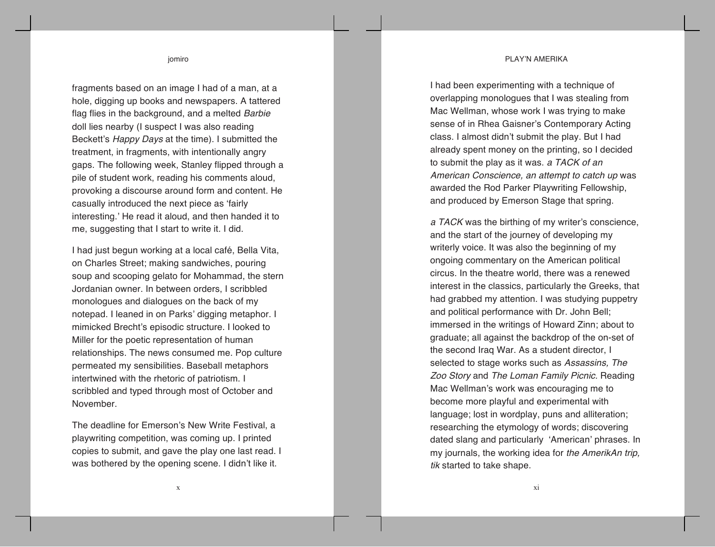#### PLAY'N AMERIKA

jomiro

fragments based on an image I had of a man, at a hole, digging up books and newspapers. A tattered flag flies in the background, and a melted *Barbie* doll lies nearby (I suspect I was also reading Beckett's *Happy Days* at the time). I submitted the treatment, in fragments, with intentionally angry gaps. The following week, Stanley flipped through a pile of student work, reading his comments aloud, provoking a discourse around form and content. He casually introduced the next piece as 'fairly interesting.' He read it aloud, and then handed it to me, suggesting that I start to write it. I did.

I had just begun working at a local café, Bella Vita, on Charles Street; making sandwiches, pouring soup and scooping gelato for Mohammad, the stern Jordanian owner . In between orders, I scribbled monologues and dialogues on the back of my notepad. I leaned in on Parks' digging metaphor. I mimicked Brecht's episodic structure. I looked to Miller for the poetic representation of human relationships. The news consumed me. Pop culture permeated my sensibilities. Baseball metaphors intertwined with the rhetoric of patriotism. I scribbled and typed through most of October and November.

The deadline for Emerson's New Write Festival, a playwriting competition, was coming up. I printed copies to submit, and gave the play one last read. I was bothered by the opening scene. I didn't like it.

I had been experimenting with a technique of overlapping monologues that I was stealing from Mac Wellman, whose work I was trying to make sense of in Rhea Gaisner's Contemporary Acting class. I almost didn't submit the play. But I had already spent money on the printing, so I decided to submit the play as it was. *a TACK of an American Conscience, an attempt to catch up* was awarded the Rod Parker Playwriting Fellowship, and produced by Emerson Stage that spring.

*a TACK* was the birthing of my writer's conscience, and the start of the journey of developing my writerly voice. It was also the beginning of my ongoing commentary on the American political circus. In the theatre world, there was a renewed interest in the classics, particularly the Greeks, that had grabbed my attention. I was studying puppetry and political performance with Dr. John Bell; immersed in the writings of Howard Zinn; about to graduate; all against the backdrop of the on -set of the second Iraq War. As a student director, I selected to stage works such as *Assassins, The Zoo Story* and *The Loman Family Picnic.* Reading Mac Wellman's work was encouraging me to become more playful and experimental with language; lost in wordplay, puns and alliteration; researching the etymology of words; discovering dated slang and particularly 'American' phrases . In my journals, the working idea for *the AmerikAn trip, tik* started to take shape.

x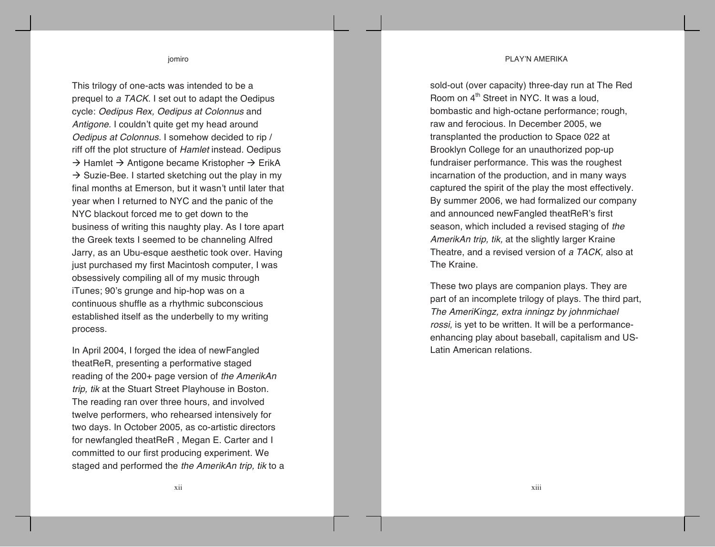#### PLAY'N AMERIKA

jomiro

This trilogy of one-acts was intended to be a prequel to *a TACK*. I set out to adapt the Oedipus cycle: *Oedipus Rex, Oedipus at Colonnus* and *Antigone.* I couldn't quite get my head around *Oedipus at Colonnus.* I somehow decided to rip / riff off the plot structure of *Hamlet* instead. Oedipus  $\rightarrow$  Hamlet  $\rightarrow$  Antigone became Kristopher  $\rightarrow$  ErikA  $\rightarrow$  Suzie-Bee. I started sketching out the play in my final months at Emerson, but it wasn't until later that year when I returned to NYC and the panic of the NYC blackout forced me to get down to the business of writing this naughty play. As I tore apart the Greek texts I seemed to be channeling Alfred Jarry, as an Ubu-esque aesthetic took over. Having just purchased my first Macintosh computer, I was obsessively compiling all of my music through iTunes; 90's grunge and hip-hop was on a continuous shuffle as a rhythmic subconscious established itself as the underbelly to my writing process.

In April 2004, I forged the idea of newFangled theatReR, presenting a performative staged reading of the 200+ page version of *the AmerikAn trip, tik* at the Stuart Street Playhouse in Boston. The reading ran over three hours, and involved twelve performers, who rehearsed intensively for two days. In October 2005, as co-artistic directors for newfangled theatReR , Megan E. Carter and I committed to our first producing experiment. We staged and performed the *the AmerikAn trip, tik* to a sold-out (over capacity) three-day run at The Red Room on  $4<sup>th</sup>$  Street in NYC. It was a loud, bombastic and high-octane performance; rough, raw and ferocious. In December 2005, we transplanted the production to Space 022 at Brooklyn College for an unauthorized pop-up fundraiser performance. This was the roughest incarnation of the production, and in many ways captured the spirit of the play the most effectively. By summer 2006, we had formalized our company and announced newFangled theatReR's first season, which included a revised staging of *the AmerikAn trip, tik,* at the slightly larger Kraine Theatre, and a revised version of *a TACK,* also at The Kraine.

These two plays are companion plays. They are part of an incomplete trilogy of plays. The third part, *The AmeriKingz, extra inningz by johnmichael rossi,* is yet to be written. It will be a performanceenhancing play about baseball, capitalism and US-Latin American relations.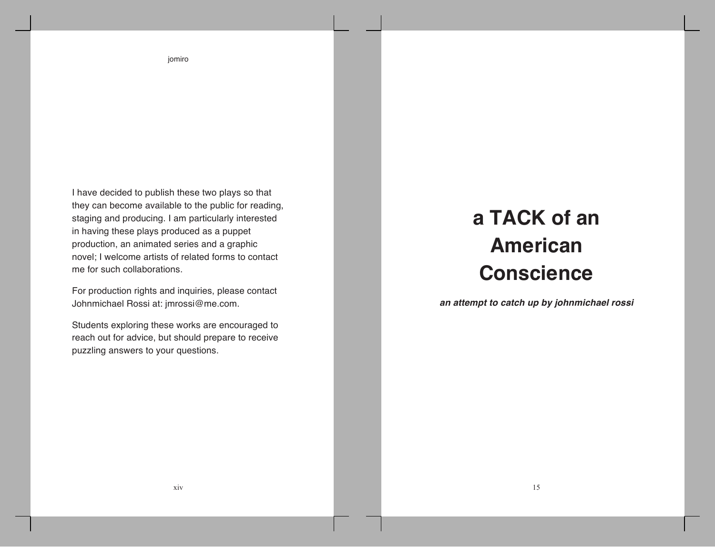I have decided to publish these two plays so that they can become available to the public for reading, staging and producing. I am particularly interested in having these plays produced as a puppet production, an animated series and a graphic novel; I welcome artists of related forms to contact me for such collaborations.

For production rights and inquiries, please contact Johnmichael Rossi at: jmrossi@me.com.

Students exploring these works are encouraged to reach out for advice, but should prepare to receive puzzling answers to your questions.

# **a TACK of an American Conscience**

*an attempt to catch up by johnmichael rossi*

jomiro